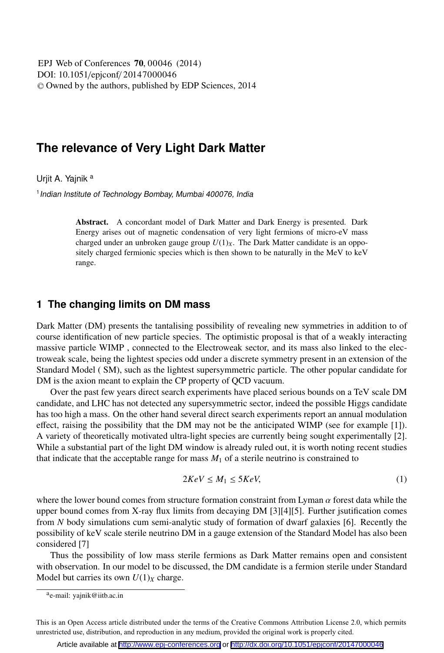DOI: 10.1051/epjconf/ 20147000046 -<sup>C</sup> Owned by the authors, published by EDP Sciences, 2014 EPJ Web of Conferences **70**, 00046 (2014)

# **The relevance of Very Light Dark Matter**

Urjit A. Yajnik<sup>a</sup>

 $1$ Indian Institute of Technology Bombay, Mumbai 400076, India

Abstract. A concordant model of Dark Matter and Dark Energy is presented. Dark Energy arises out of magnetic condensation of very light fermions of micro-eV mass charged under an unbroken gauge group  $U(1)_X$ . The Dark Matter candidate is an oppositely charged fermionic species which is then shown to be naturally in the MeV to keV range.

## **1 The changing limits on DM mass**

Dark Matter (DM) presents the tantalising possibility of revealing new symmetries in addition to of course identification of new particle species. The optimistic proposal is that of a weakly interacting massive particle WIMP , connected to the Electroweak sector, and its mass also linked to the electroweak scale, being the lightest species odd under a discrete symmetry present in an extension of the Standard Model ( SM), such as the lightest supersymmetric particle. The other popular candidate for DM is the axion meant to explain the CP property of QCD vacuum.

Over the past few years direct search experiments have placed serious bounds on a TeV scale DM candidate, and LHC has not detected any supersymmetric sector, indeed the possible Higgs candidate has too high a mass. On the other hand several direct search experiments report an annual modulation effect, raising the possibility that the DM may not be the anticipated WIMP (see for example [1]). A variety of theoretically motivated ultra-light species are currently being sought experimentally [2]. While a substantial part of the light DM window is already ruled out, it is worth noting recent studies that indicate that the acceptable range for mass  $M_1$  of a sterile neutrino is constrained to

$$
2KeV \le M_1 \le 5KeV,\tag{1}
$$

where the lower bound comes from structure formation constraint from Lyman  $\alpha$  forest data while the upper bound comes from X-ray flux limits from decaying DM [3][4][5]. Further jsutification comes from *N* body simulations cum semi-analytic study of formation of dwarf galaxies [6]. Recently the possibility of keV scale sterile neutrino DM in a gauge extension of the Standard Model has also been considered [7]

Thus the possibility of low mass sterile fermions as Dark Matter remains open and consistent with observation. In our model to be discussed, the DM candidate is a fermion sterile under Standard Model but carries its own  $U(1)_X$  charge.

ae-mail: yajnik@iitb.ac.in

This is an Open Access article distributed under the terms of the Creative Commons Attribution License 2.0, which permits unrestricted use, distribution, and reproduction in any medium, provided the original work is properly cited.

Article available at <http://www.epj-conferences.org> or <http://dx.doi.org/10.1051/epjconf/20147000046>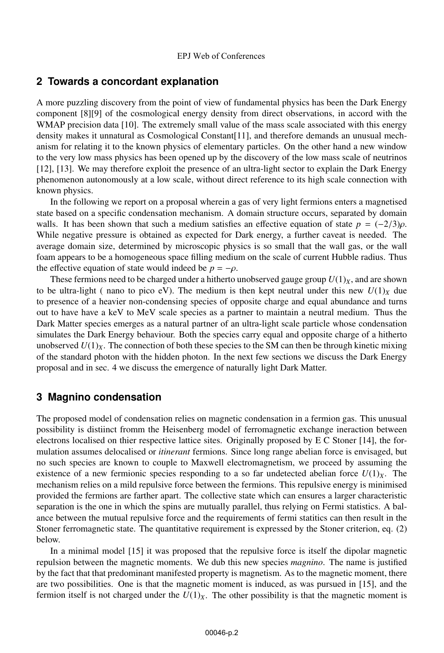### **2 Towards a concordant explanation**

A more puzzling discovery from the point of view of fundamental physics has been the Dark Energy component [8][9] of the cosmological energy density from direct observations, in accord with the WMAP precision data [10]. The extremely small value of the mass scale associated with this energy density makes it unnatural as Cosmological Constant[11], and therefore demands an unusual mechanism for relating it to the known physics of elementary particles. On the other hand a new window to the very low mass physics has been opened up by the discovery of the low mass scale of neutrinos [12], [13]. We may therefore exploit the presence of an ultra-light sector to explain the Dark Energy phenomenon autonomously at a low scale, without direct reference to its high scale connection with known physics.

In the following we report on a proposal wherein a gas of very light fermions enters a magnetised state based on a specific condensation mechanism. A domain structure occurs, separated by domain walls. It has been shown that such a medium satisfies an effective equation of state  $p = (-2/3)\rho$ . While negative pressure is obtained as expected for Dark energy, a further caveat is needed. The average domain size, determined by microscopic physics is so small that the wall gas, or the wall foam appears to be a homogeneous space filling medium on the scale of current Hubble radius. Thus the effective equation of state would indeed be  $p = -\rho$ .

These fermions need to be charged under a hitherto unobserved gauge group  $U(1)_X$ , and are shown to be ultra-light ( nano to pico eV). The medium is then kept neutral under this new  $U(1)_X$  due to presence of a heavier non-condensing species of opposite charge and equal abundance and turns out to have have a keV to MeV scale species as a partner to maintain a neutral medium. Thus the Dark Matter species emerges as a natural partner of an ultra-light scale particle whose condensation simulates the Dark Energy behaviour. Both the species carry equal and opposite charge of a hitherto unobserved  $U(1)_X$ . The connection of both these species to the SM can then be through kinetic mixing of the standard photon with the hidden photon. In the next few sections we discuss the Dark Energy proposal and in sec. 4 we discuss the emergence of naturally light Dark Matter.

### **3 Magnino condensation**

The proposed model of condensation relies on magnetic condensation in a fermion gas. This unusual possibility is distiinct fromm the Heisenberg model of ferromagnetic exchange ineraction between electrons localised on thier respective lattice sites. Originally proposed by E C Stoner [14], the formulation assumes delocalised or *itinerant* fermions. Since long range abelian force is envisaged, but no such species are known to couple to Maxwell electromagnetism, we proceed by assuming the existence of a new fermionic species responding to a so far undetected abelian force  $U(1)_X$ . The mechanism relies on a mild repulsive force between the fermions. This repulsive energy is minimised provided the fermions are farther apart. The collective state which can ensures a larger characteristic separation is the one in which the spins are mutually parallel, thus relying on Fermi statistics. A balance between the mutual repulsive force and the requirements of fermi statitics can then result in the Stoner ferromagnetic state. The quantitative requirement is expressed by the Stoner criterion, eq. (2) below.

In a minimal model [15] it was proposed that the repulsive force is itself the dipolar magnetic repulsion between the magnetic moments. We dub this new species *magnino*. The name is justified by the fact that that predominant manifested property is magnetism. As to the magnetic moment, there are two possibilities. One is that the magnetic moment is induced, as was pursued in [15], and the fermion itself is not charged under the  $U(1)_X$ . The other possibility is that the magnetic moment is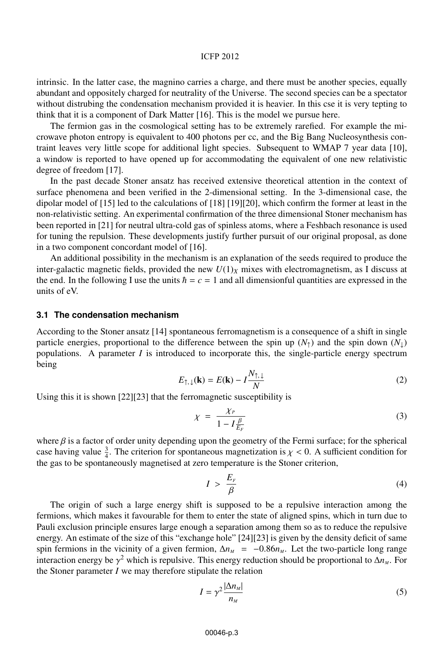#### ICFP 2012

intrinsic. In the latter case, the magnino carries a charge, and there must be another species, equally abundant and oppositely charged for neutrality of the Universe. The second species can be a spectator without distrubing the condensation mechanism provided it is heavier. In this cse it is very tepting to think that it is a component of Dark Matter [16]. This is the model we pursue here.

The fermion gas in the cosmological setting has to be extremely rarefied. For example the microwave photon entropy is equivalent to 400 photons per cc, and the Big Bang Nucleosynthesis contraint leaves very little scope for additional light species. Subsequent to WMAP 7 year data [10], a window is reported to have opened up for accommodating the equivalent of one new relativistic degree of freedom [17].

In the past decade Stoner ansatz has received extensive theoretical attention in the context of surface phenomena and been verified in the 2-dimensional setting. In the 3-dimensional case, the dipolar model of [15] led to the calculations of [18] [19][20], which confirm the former at least in the non-relativistic setting. An experimental confirmation of the three dimensional Stoner mechanism has been reported in [21] for neutral ultra-cold gas of spinless atoms, where a Feshbach resonance is used for tuning the repulsion. These developments justify further pursuit of our original proposal, as done in a two component concordant model of [16].

An additional possibility in the mechanism is an explanation of the seeds required to produce the inter-galactic magnetic fields, provided the new  $U(1)_X$  mixes with electromagnetism, as I discuss at the end. In the following I use the units  $\hbar = c = 1$  and all dimensionful quantities are expressed in the units of eV.

#### **3.1 The condensation mechanism**

According to the Stoner ansatz [14] spontaneous ferromagnetism is a consequence of a shift in single particle energies, proportional to the difference between the spin up  $(N_1)$  and the spin down  $(N_1)$ populations. A parameter *I* is introduced to incorporate this, the single-particle energy spectrum being

$$
E_{\uparrow,\downarrow}(\mathbf{k}) = E(\mathbf{k}) - I \frac{N_{\uparrow,\downarrow}}{N}
$$
 (2)

Using this it is shown [22][23] that the ferromagnetic susceptibility is

$$
\chi = \frac{\chi_P}{1 - I \frac{\beta}{E_F}} \tag{3}
$$

where  $\beta$  is a factor of order unity depending upon the geometry of the Fermi surface; for the spherical case having value  $\frac{3}{4}$ . The criterion for spontaneous magnetization is  $\chi < 0$ . A sufficient condition for the gas to be spontaneously magnetised at zero temperature is the Stoner criterion,

$$
I > \frac{E_r}{\beta} \tag{4}
$$

The origin of such a large energy shift is supposed to be a repulsive interaction among the fermions, which makes it favourable for them to enter the state of aligned spins, which in turn due to Pauli exclusion principle ensures large enough a separation among them so as to reduce the repulsive energy. An estimate of the size of this "exchange hole" [24][23] is given by the density deficit of same spin fermions in the vicinity of a given fermion,  $\Delta n_M$  =  $-0.86n_M$ . Let the two-particle long range interaction energy be  $\gamma^2$  which is repulsive. This energy reduction should be proportional to  $\Delta n_M$ . For the Stoner parameter *I* we may therefore stipulate the relation

$$
I = \gamma^2 \frac{|\Delta n_M|}{n_M} \tag{5}
$$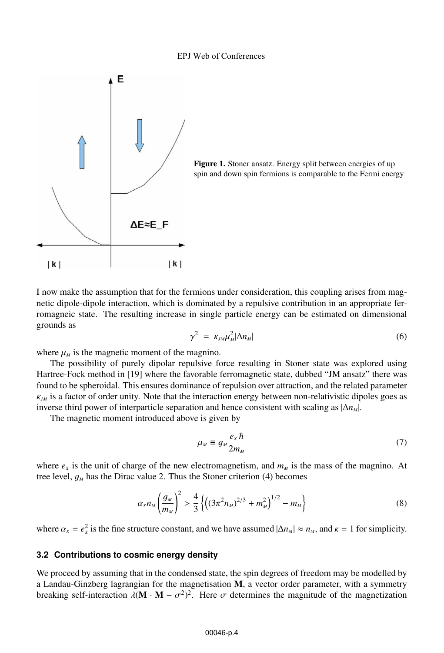#### EPJ Web of Conferences



Figure 1. Stoner ansatz. Energy split between energies of up spin and down spin fermions is comparable to the Fermi energy

I now make the assumption that for the fermions under consideration, this coupling arises from magnetic dipole-dipole interaction, which is dominated by a repulsive contribution in an appropriate ferromagneic state. The resulting increase in single particle energy can be estimated on dimensional grounds as

$$
\gamma^2 = \kappa_{JM} \mu_M^2 |\Delta n_M| \tag{6}
$$

where  $\mu_M$  is the magnetic moment of the magnino.

The possibility of purely dipolar repulsive force resulting in Stoner state was explored using Hartree-Fock method in [19] where the favorable ferromagnetic state, dubbed "JM ansatz" there was found to be spheroidal. This ensures dominance of repulsion over attraction, and the related parameter <sup>κ</sup>*JM* is a factor of order unity. Note that the interaction energy between non-relativistic dipoles goes as inverse third power of interparticle separation and hence consistent with scaling as  $|\Delta n_{M}|$ .

The magnetic moment introduced above is given by

$$
\mu_M \equiv g_M \frac{e_X \hbar}{2m_M} \tag{7}
$$

where  $e_x$  is the unit of charge of the new electromagnetism, and  $m_M$  is the mass of the magnino. At tree level,  $g_M$  has the Dirac value 2. Thus the Stoner criterion (4) becomes

$$
\alpha_x n_M \left(\frac{g_M}{m_M}\right)^2 > \frac{4}{3} \left\{ \left( (3\pi^2 n_M)^{2/3} + m_M^2 \right)^{1/2} - m_M \right\} \tag{8}
$$

where  $\alpha_x = e_x^2$  is the fine structure constant, and we have assumed  $|\Delta n_M| \approx n_M$ , and  $\kappa = 1$  for simplicity.

#### **3.2 Contributions to cosmic energy density**

We proceed by assuming that in the condensed state, the spin degrees of freedom may be modelled by a Landau-Ginzberg lagrangian for the magnetisation M, a vector order parameter, with a symmetry breaking self-interaction  $\lambda (\mathbf{M} \cdot \mathbf{M} - \sigma^2)^2$ . Here  $\sigma$  determines the magnitude of the magnetization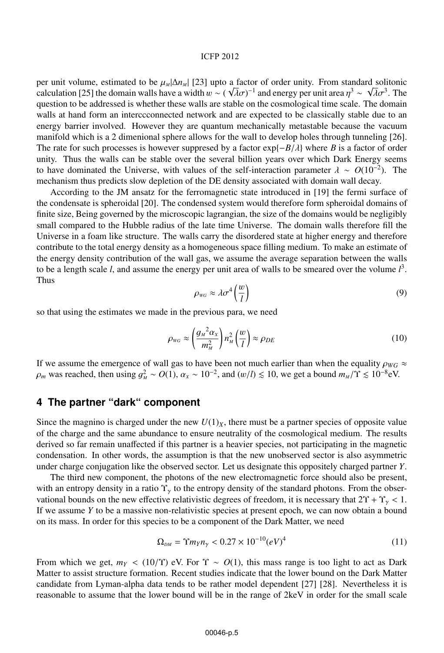#### ICFP 2012

per unit volume, estimated to be  $\mu_M |\Delta n_M|$  [23] upto a factor of order unity. From standard solitonic calculation [25] the domain walls have a width  $w \sim (\sqrt{\lambda} \sigma)^{-1}$  and energy per unit area  $n^3 \sim \sqrt{\lambda} \sigma^3$ . The per unit volume, estimated to be  $\mu_M|\Delta n_M|$  [25] upto a ractor or order unity. From standard solitonic calculation [25] the domain walls have a width  $w \sim (\sqrt{\lambda}\sigma)^{-1}$  and energy per unit area  $\eta^3 \sim \sqrt{\lambda}\sigma^3$ . The question question to be addressed is whether these walls are stable on the cosmological time scale. The domain walls at hand form an interccconnected network and are expected to be classically stable due to an energy barrier involved. However they are quantum mechanically metastable because the vacuum manifold which is a 2 dimenional sphere allows for the wall to develop holes through tunneling [26]. The rate for such processes is however suppresed by a factor exp{−*B*/λ} where *<sup>B</sup>* is a factor of order unity. Thus the walls can be stable over the several billion years over which Dark Energy seems to have dominated the Universe, with values of the self-interaction parameter  $\lambda \sim O(10^{-2})$ . The mechanism thus predicts slow depletion of the DE density associated with domain wall decay.

According to the JM ansatz for the ferromagnetic state introduced in [19] the fermi surface of the condensate is spheroidal [20]. The condensed system would therefore form spheroidal domains of finite size, Being governed by the microscopic lagrangian, the size of the domains would be negligibly small compared to the Hubble radius of the late time Universe. The domain walls therefore fill the Universe in a foam like structure. The walls carry the disordered state at higher energy and therefore contribute to the total energy density as a homogeneous space filling medium. To make an estimate of the energy density contribution of the wall gas, we assume the average separation between the walls to be a length scale *l*, and assume the energy per unit area of walls to be smeared over the volume  $l<sup>3</sup>$ . Thus

$$
\rho_{\text{wc}} \approx \lambda \sigma^4 \left(\frac{w}{l}\right) \tag{9}
$$

so that using the estimates we made in the previous para, we need

$$
\rho_{\scriptscriptstyle WG} \approx \left(\frac{g_{\scriptscriptstyle M}^2 \alpha_{\scriptscriptstyle X}}{m_{\scriptscriptstyle M}^2}\right) n_{\scriptscriptstyle M}^2 \left(\frac{w}{l}\right) \approx \rho_{DE} \tag{10}
$$

If we assume the emergence of wall gas to have been not much earlier than when the equality  $\rho_{WG} \approx$  $\rho_m$  was reached, then using  $g_M^2 \sim O(1)$ ,  $\alpha_X \sim 10^{-2}$ , and  $(w/l) \lesssim 10$ , we get a bound  $m_M/\Upsilon \lesssim 10^{-8}$ eV.

## **4 The partner "dark" component**

Since the magnino is charged under the new  $U(1)_X$ , there must be a partner species of opposite value of the charge and the same abundance to ensure neutrality of the cosmological medium. The results derived so far remain unaffected if this partner is a heavier species, not participating in the magnetic condensation. In other words, the assumption is that the new unobserved sector is also asymmetric under charge conjugation like the observed sector. Let us designate this oppositely charged partner *Y*.

The third new component, the photons of the new electromagnetic force should also be present, with an entropy density in a ratio  $\Upsilon_{\gamma}$  to the entropy density of the standard photons. From the observational bounds on the new effective relativistic degrees of freedom, it is necessary that  $2\Upsilon + \Upsilon_y < 1$ . If we assume *Y* to be a massive non-relativistic species at present epoch, we can now obtain a bound on its mass. In order for this species to be a component of the Dark Matter, we need

$$
\Omega_{DM} = \Upsilon m_Y n_Y < 0.27 \times 10^{-10} (eV)^4 \tag{11}
$$

From which we get,  $m_Y < (10/\Upsilon)$  eV. For  $\Upsilon \sim O(1)$ , this mass range is too light to act as Dark Matter to assist structure formation. Recent studies indicate that the lower bound on the Dark Matter candidate from Lyman-alpha data tends to be rather model dependent [27] [28]. Nevertheless it is reasonable to assume that the lower bound will be in the range of 2keV in order for the small scale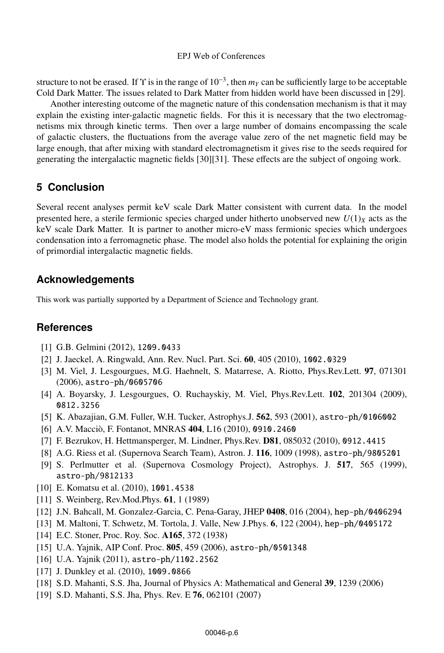#### EPJ Web of Conferences

structure to not be erased. If  $\Upsilon$  is in the range of  $10^{-3}$ , then  $m<sub>Y</sub>$  can be sufficiently large to be acceptable Cold Dark Matter. The issues related to Dark Matter from hidden world have been discussed in [29].

Another interesting outcome of the magnetic nature of this condensation mechanism is that it may explain the existing inter-galactic magnetic fields. For this it is necessary that the two electromagnetisms mix through kinetic terms. Then over a large number of domains encompassing the scale of galactic clusters, the fluctuations from the average value zero of the net magnetic field may be large enough, that after mixing with standard electromagnetism it gives rise to the seeds required for generating the intergalactic magnetic fields [30][31]. These effects are the subject of ongoing work.

## **5 Conclusion**

Several recent analyses permit keV scale Dark Matter consistent with current data. In the model presented here, a sterile fermionic species charged under hitherto unobserved new  $U(1)_X$  acts as the keV scale Dark Matter. It is partner to another micro-eV mass fermionic species which undergoes condensation into a ferromagnetic phase. The model also holds the potential for explaining the origin of primordial intergalactic magnetic fields.

### **Acknowledgements**

This work was partially supported by a Department of Science and Technology grant.

## **References**

- [1] G.B. Gelmini (2012), 1209.0433
- [2] J. Jaeckel, A. Ringwald, Ann. Rev. Nucl. Part. Sci. 60, 405 (2010), 1002.0329
- [3] M. Viel, J. Lesgourgues, M.G. Haehnelt, S. Matarrese, A. Riotto, Phys.Rev.Lett. 97, 071301 (2006), astro-ph/0605706
- [4] A. Boyarsky, J. Lesgourgues, O. Ruchayskiy, M. Viel, Phys.Rev.Lett. 102, 201304 (2009), 0812.3256
- [5] K. Abazajian, G.M. Fuller, W.H. Tucker, Astrophys.J. 562, 593 (2001), astro-ph/0106002
- [6] A.V. Macciò, F. Fontanot, MNRAS 404, L16 (2010), 0910.2460
- [7] F. Bezrukov, H. Hettmansperger, M. Lindner, Phys.Rev. D81, 085032 (2010), 0912.4415
- [8] A.G. Riess et al. (Supernova Search Team), Astron. J. 116, 1009 (1998), astro-ph/9805201
- [9] S. Perlmutter et al. (Supernova Cosmology Project), Astrophys. J. 517, 565 (1999), astro-ph/9812133
- [10] E. Komatsu et al. (2010), 1001.4538
- [11] S. Weinberg, Rev.Mod.Phys. **61**, 1 (1989)
- [12] J.N. Bahcall, M. Gonzalez-Garcia, C. Pena-Garay, JHEP 0408, 016 (2004), hep-ph/0406294
- [13] M. Maltoni, T. Schwetz, M. Tortola, J. Valle, New J.Phys. 6, 122 (2004), hep-ph/0405172
- [14] E.C. Stoner, Proc. Roy. Soc. A165, 372 (1938)
- [15] U.A. Yajnik, AIP Conf. Proc. 805, 459 (2006), astro-ph/0501348
- [16] U.A. Yajnik (2011), astro-ph/1102.2562
- [17] J. Dunkley et al. (2010), 1009.0866
- [18] S.D. Mahanti, S.S. Jha, Journal of Physics A: Mathematical and General 39, 1239 (2006)
- [19] S.D. Mahanti, S.S. Jha, Phys. Rev. E 76, 062101 (2007)